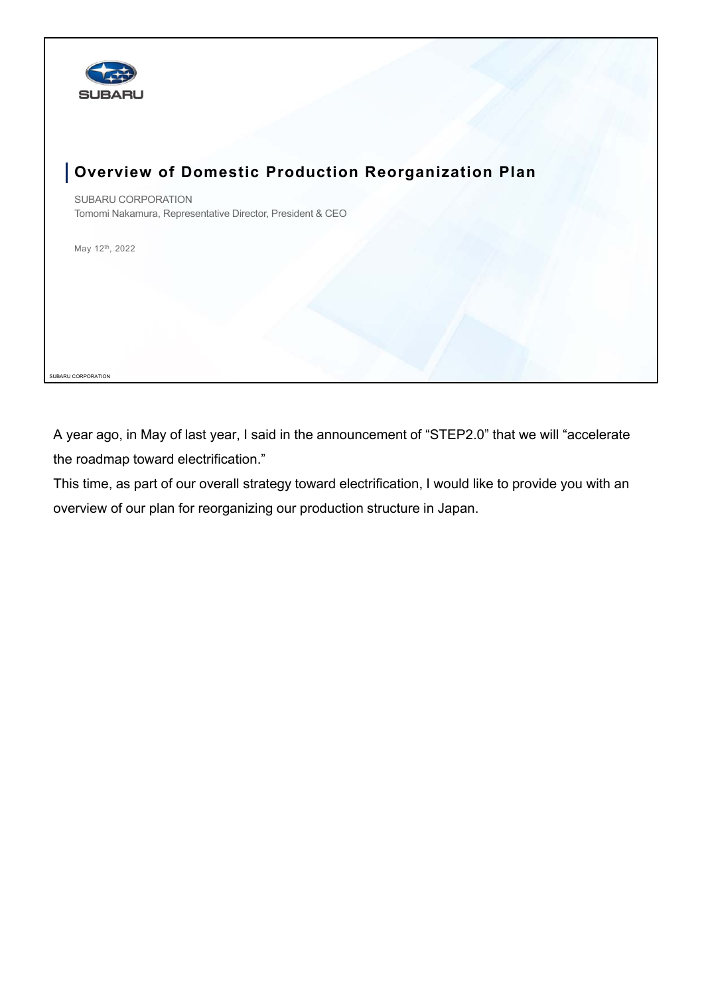

## **Overview of Domestic Production Reorganization Plan**

SUBARU CORPORATION Tomomi Nakamura, Representative Director, President & CEO

May 12th, 2022

SUBARU CORPORATION

A year ago, in May of last year, I said in the announcement of "STEP2.0" that we will "accelerate the roadmap toward electrification."

This time, as part of our overall strategy toward electrification, I would like to provide you with an overview of our plan for reorganizing our production structure in Japan.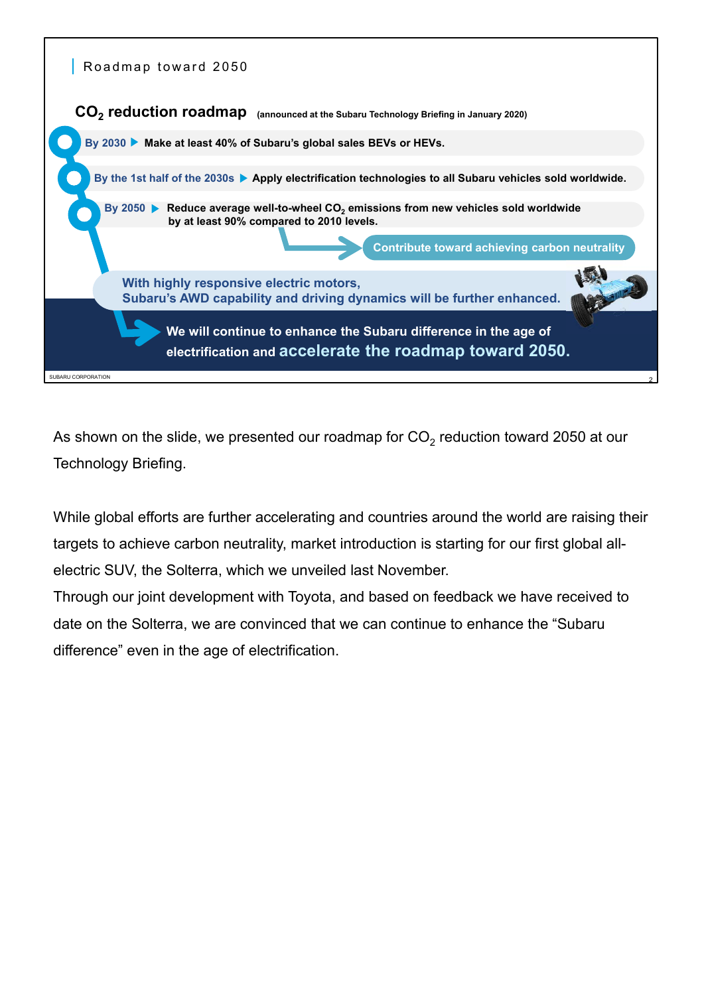

As shown on the slide, we presented our roadmap for  $CO<sub>2</sub>$  reduction toward 2050 at our Technology Briefing.

While global efforts are further accelerating and countries around the world are raising their targets to achieve carbon neutrality, market introduction is starting for our first global allelectric SUV, the Solterra, which we unveiled last November.

Through our joint development with Toyota, and based on feedback we have received to date on the Solterra, we are convinced that we can continue to enhance the "Subaru difference" even in the age of electrification.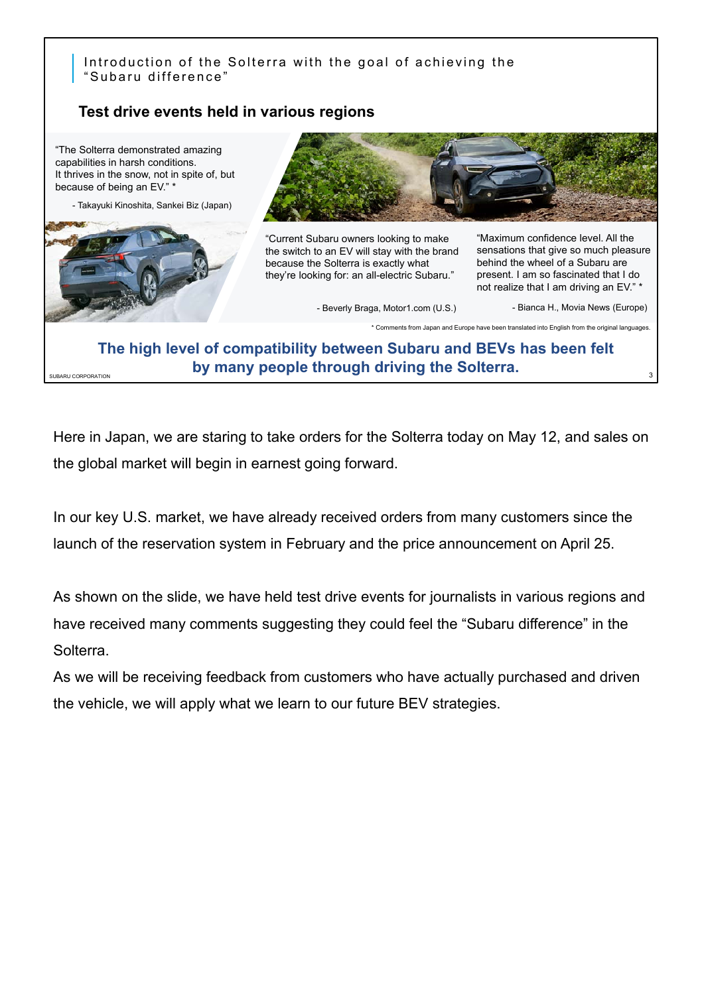## Introduction of the Solterra with the goal of achieving the "Subaru difference"

## **Test drive events held in various regions**



**The high level of compatibility between Subaru and BEVs has been felt by many people through driving the Solterra.** 

3

Here in Japan, we are staring to take orders for the Solterra today on May 12, and sales on the global market will begin in earnest going forward.

In our key U.S. market, we have already received orders from many customers since the launch of the reservation system in February and the price announcement on April 25.

As shown on the slide, we have held test drive events for journalists in various regions and have received many comments suggesting they could feel the "Subaru difference" in the Solterra.

As we will be receiving feedback from customers who have actually purchased and driven the vehicle, we will apply what we learn to our future BEV strategies.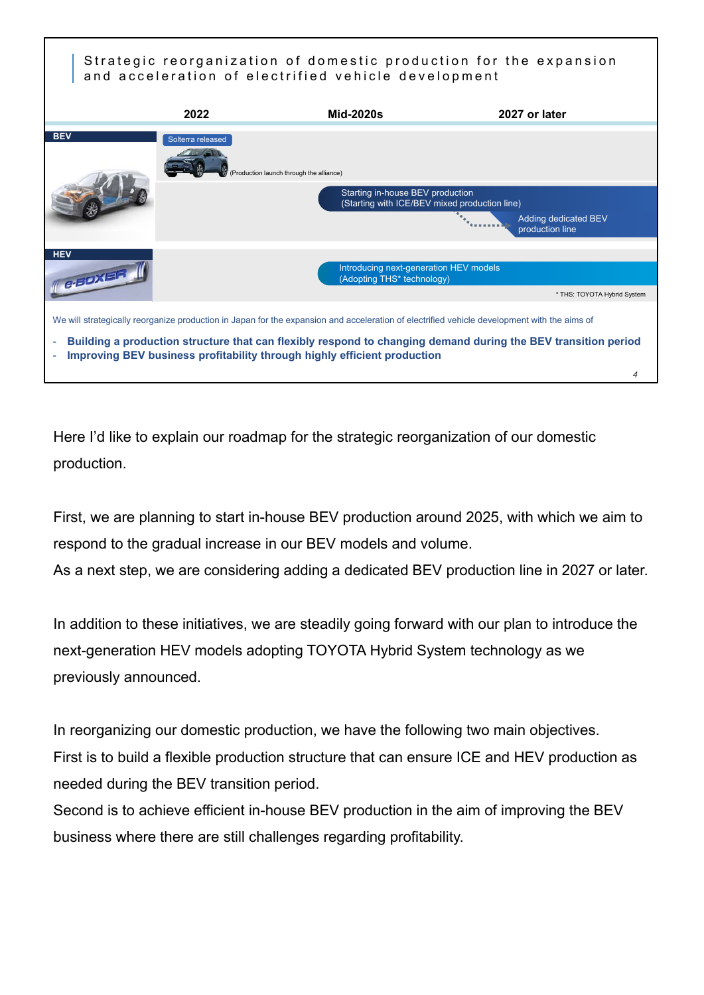## Strategic reorganization of domestic production for the expansion and acceleration of electrified vehicle development



Here I'd like to explain our roadmap for the strategic reorganization of our domestic production.

First, we are planning to start in-house BEV production around 2025, with which we aim to respond to the gradual increase in our BEV models and volume.

As a next step, we are considering adding a dedicated BEV production line in 2027 or later.

In addition to these initiatives, we are steadily going forward with our plan to introduce the next-generation HEV models adopting TOYOTA Hybrid System technology as we previously announced.

In reorganizing our domestic production, we have the following two main objectives. First is to build a flexible production structure that can ensure ICE and HEV production as needed during the BEV transition period.

Second is to achieve efficient in-house BEV production in the aim of improving the BEV business where there are still challenges regarding profitability.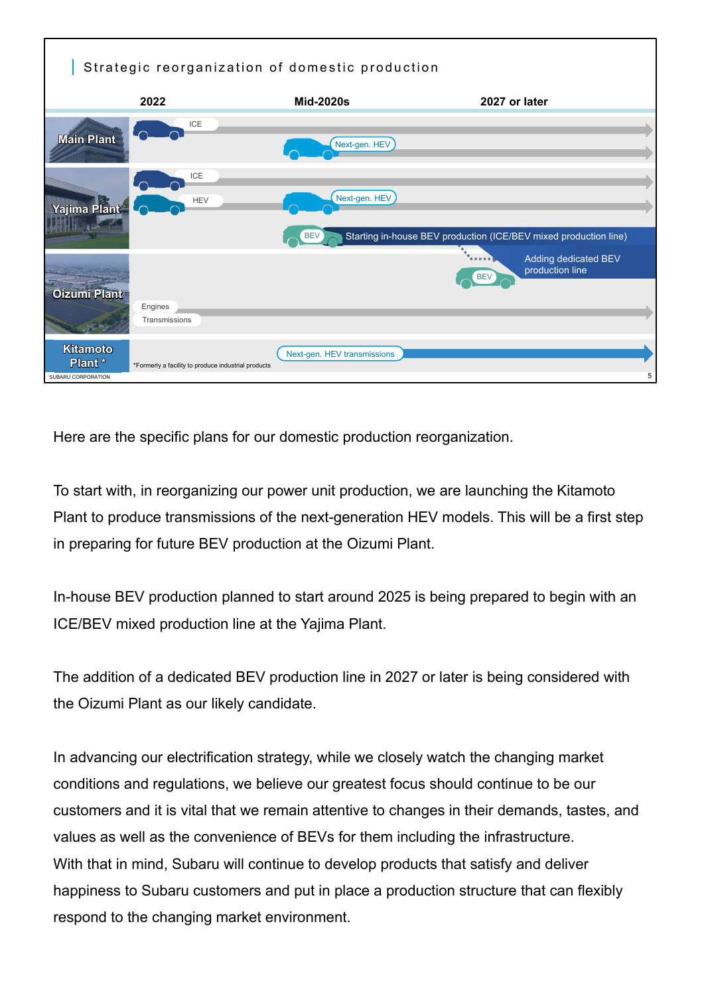

Here are the specific plans for our domestic production reorganization.

To start with, in reorganizing our power unit production, we are launching the Kitamoto Plant to produce transmissions of the next-generation HEV models. This will be a first step in preparing for future BEV production at the Oizumi Plant.

In-house BEV production planned to start around 2025 is being prepared to begin with an ICE/BEV mixed production line at the Yajima Plant.

The addition of a dedicated BEV production line in 2027 or later is being considered with the Oizumi Plant as our likely candidate.

In advancing our electrification strategy, while we closely watch the changing market conditions and regulations, we believe our greatest focus should continue to be our customers and it is vital that we remain attentive to changes in their demands, tastes, and values as well as the convenience of BEVs for them including the infrastructure. With that in mind, Subaru will continue to develop products that satisfy and deliver happiness to Subaru customers and put in place a production structure that can flexibly respond to the changing market environment.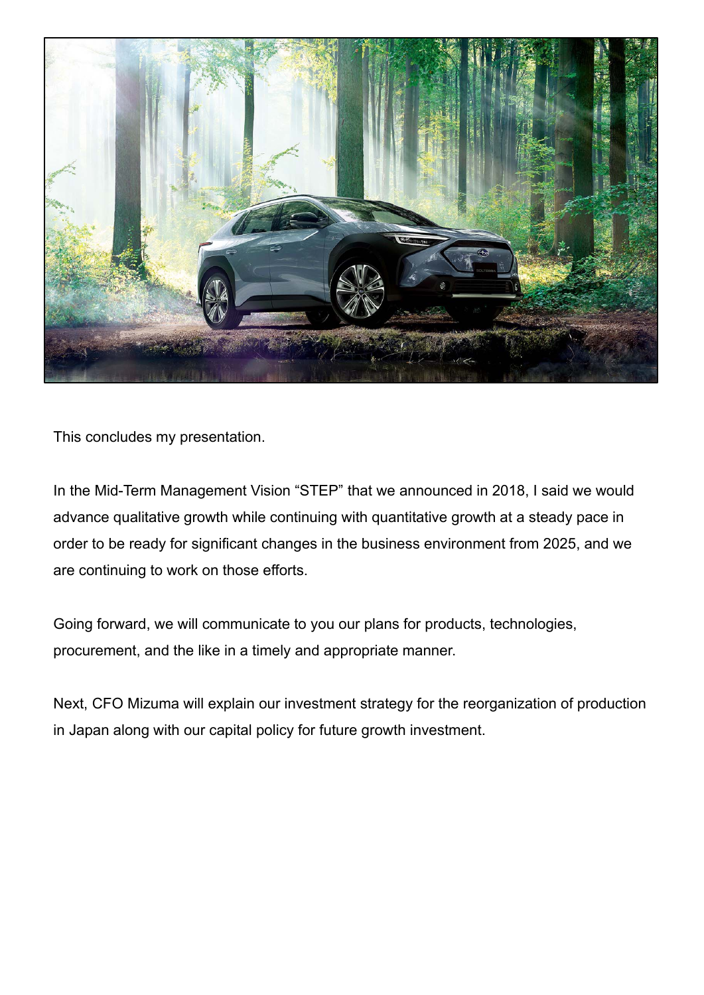

This concludes my presentation.

In the Mid-Term Management Vision "STEP" that we announced in 2018, I said we would advance qualitative growth while continuing with quantitative growth at a steady pace in order to be ready for significant changes in the business environment from 2025, and we are continuing to work on those efforts.

Going forward, we will communicate to you our plans for products, technologies, procurement, and the like in a timely and appropriate manner.

Next, CFO Mizuma will explain our investment strategy for the reorganization of production in Japan along with our capital policy for future growth investment.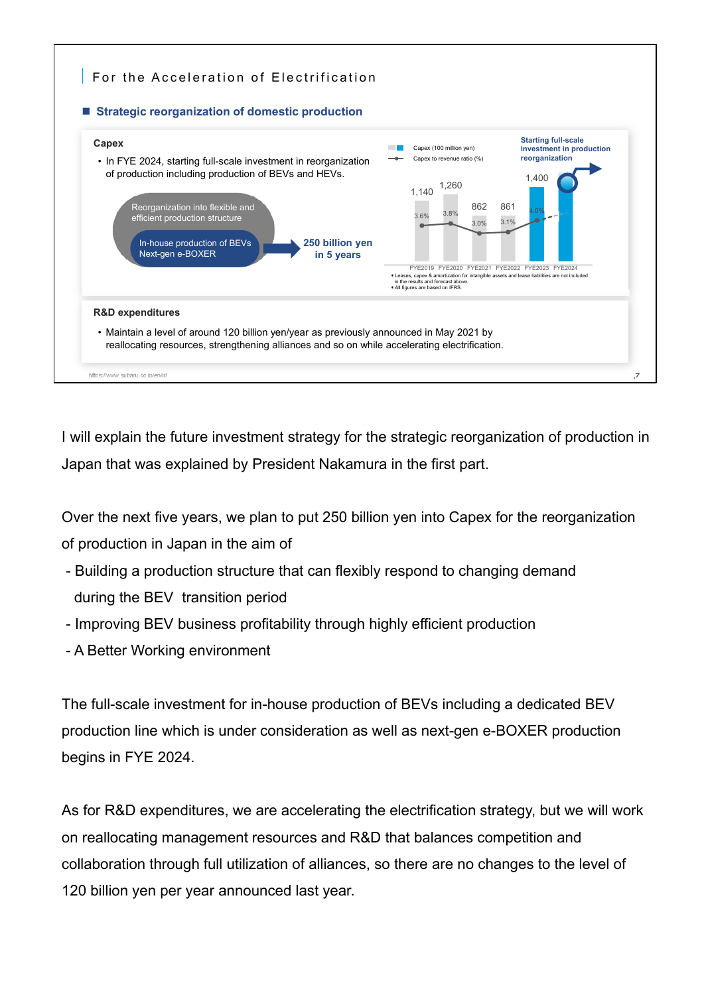

I will explain the future investment strategy for the strategic reorganization of production in Japan that was explained by President Nakamura in the first part.

Over the next five years, we plan to put 250 billion yen into Capex for the reorganization of production in Japan in the aim of

- Building a production structure that can flexibly respond to changing demand during the BEV transition period
- Improving BEV business profitability through highly efficient production
- A Better Working environment

The full-scale investment for in-house production of BEVs including a dedicated BEV production line which is under consideration as well as next-gen e-BOXER production begins in FYE 2024.

As for R&D expenditures, we are accelerating the electrification strategy, but we will work on reallocating management resources and R&D that balances competition and collaboration through full utilization of alliances, so there are no changes to the level of 120 billion yen per year announced last year.